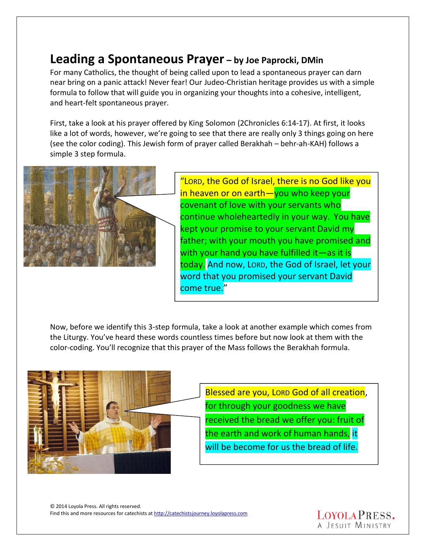## **Leading a Spontaneous Prayer – by Joe Paprocki, DMin**

For many Catholics, the thought of being called upon to lead a spontaneous prayer can darn near bring on a panic attack! Never fear! Our Judeo-Christian heritage provides us with a simple formula to follow that will guide you in organizing your thoughts into a cohesive, intelligent, and heart-felt spontaneous prayer.

First, take a look at his prayer offered by King Solomon (2Chronicles 6:14-17). At first, it looks like a lot of words, however, we're going to see that there are really only 3 things going on here (see the color coding). This Jewish form of prayer called Berakhah – behr-ah-KAH) follows a simple 3 step formula.



"LORD, the God of Israel, there is no God like you in heaven or on earth—you who keep your covenant of love with your servants who continue wholeheartedly in your way. You have kept your promise to your servant David my father; with your mouth you have promised and with your hand you have fulfilled it—as it is today. And now, LORD, the God of Israel, let your word that you promised your servant David come true."

Now, before we identify this 3-step formula, take a look at another example which comes from the Liturgy. You've heard these words countless times before but now look at them with the color-coding. You'll recognize that this prayer of the Mass follows the Berakhah formula.



Blessed are you, LORD God of all creation, for through your goodness we have received the bread we offer you: fruit of the earth and work of human hands, it will be become for us the bread of life.

© 2014 Loyola Press. All rights reserved. Find this and more resources for catechists at http://catechistsjourney.loyolapress.com